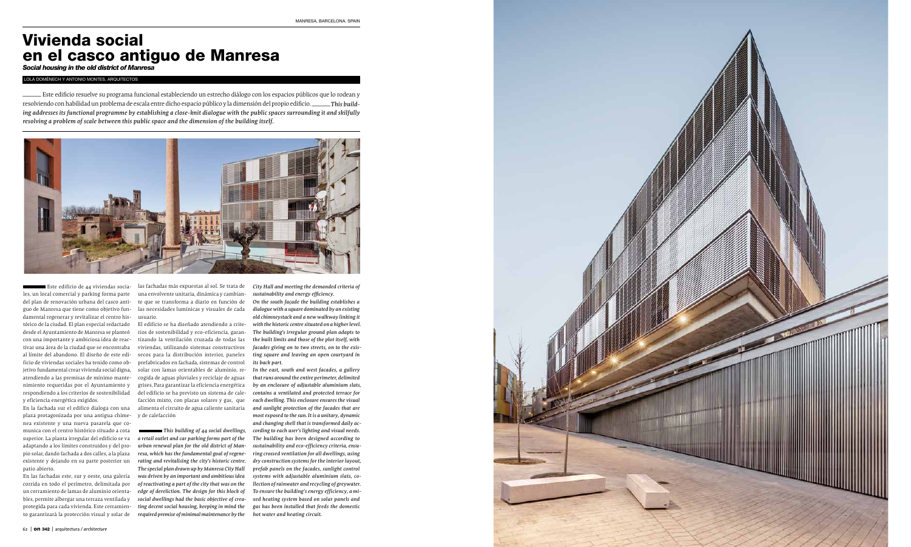

## Vivienda social en el casco antiguo de Manresa

*Social housing in the old district of Manresa*

 LOLA DOMÈNECH Y ANTONIO MONTES, ARQUITECTOS – Este edificio resuelve su programa funcional estableciendo un estrecho diálogo con los espacios públicos que lo rodean y resolviendo con habilidad un problema de escala entre dicho espacio público y la dimensión del propio edificio.  os que lo rodean<br>**\_\_\_\_\_\_This build**<br>ing it and skilfull<sup>.</sup> *ing addresses its functional programme by establishing a close-knit dialogue with the public spaces surrounding it and skilfully resolving a problem of scale between this public space and the dimension of the building itself.*



Este edificio de 44 viviendas socia les, un local comercial y parking forma parte del plan de renovación urbana del casco anti guo de Manresa que tiene como objetivo fun damental regenerar y revitalizar el centro his tórico de la ciudad. El plan especial redactado desde el Ayuntamiento de Manresa se planteó con una importante y ambiciosa idea de reac tivar una área de la ciudad que se encontraba al límite del abandono. El diseño de este edi ficio de viviendas sociales ha tenido como ob jetivo fundamental crear vivienda social digna, atendiendo a las premisas de mínimo mante nimiento requeridas por el Ayuntamiento y respondiendo a los criterios de sostenibilidad y eficiencia energética exigidos.

En la fachada sur el edifico dialoga con una plaza protagonizada por una antigua chime nea existente y una nueva pasarela que co munica con el centro histórico situado a cota superior. La planta irregular del edificio se va adaptando a los límites construidos y del pro pio solar, dando fachada a dos calles, a la plaza existente y dejando en su parte posterior un patio abierto.

En las fachadas este, sur y oeste, una galería corrida en todo el perímetro, delimitada por un cerramiento de lamas de aluminio orienta bles, permite albergar una terraza ventilada y protegida para cada vivienda. Este cerramien to garantizará la protección visual y solar de las fachadas más expuestas al sol. Se trata de una envolvente unitaria, dinámica y cambian te que se transforma a diario en función de las necesidades lumínicas y visuales de cada usuario.

El edificio se ha diseñado atendiendo a crite rios de sostenibilidad y eco-eficiencia, garan tizando la ventilación cruzada de todas las viviendas, utilizando sistemas constructivos secos para la distribución interior, paneles prefabricados en fachada, sistemas de control solar con lamas orientables de aluminio, re cogida de aguas pluviales y reciclaje de aguas grises, Para garantizar la eficiencia energética del edificio se ha previsto un sistema de cale facción mixto, con placas solares y gas, que alimenta el circuito de agua caliente sanitaria y de calefacción

*This building of 44 social dwellings, a retail outlet and car parking forms part of the urban renewal plan for the old district of Man resa, which has the fundamental goal of regene rating and revitalising the city's historic centre. The special plan drawn up by Manresa City Hall was driven by an important and ambitious idea of reactivating a part of the city that was on the edge of dereliction. The design for this block of social dwellings had the basic objective of crea ting decent social housing, keeping in mind the required premise of minimal maintenance by the*  *City Hall and meeting the demanded criteria of sustainability and energy efficiency.*

*On the south façade the building establishes a dialogue with a square dominated by an existing old chimneystack and a new walkway linking it with the historic centre situated on a higher level. The building's irregular ground plan adapts to the built limits and those of the plot itself, with facades giving on to two streets, on to the exis ting square and leaving an open courtyard in its back part.*

*In the east, south and west facades, a gallery that runs around the entire perimeter, delimited by an enclosure of adjustable aluminium slats, contains a ventilated and protected terrace for each dwelling. This enclosure ensures the visual and sunlight protection of the facades that are most exposed to the sun. It is a unitary, dynamic and changing shell that is transformed daily ac cording to each user's lighting and visual needs. The building has been designed according to sustainability and eco-efficiency criteria, ensu ring crossed ventilation for all dwellings, using dry construction systems for the interior layout, prefab panels on the facades, sunlight control systems with adjustable aluminium slats, co llection of rainwater and recycling of greywater. To ensure the building's energy efficiency, a mi xed heating system based on solar panels and gas has been installed that feeds the domestic hot water and heating circuit.*

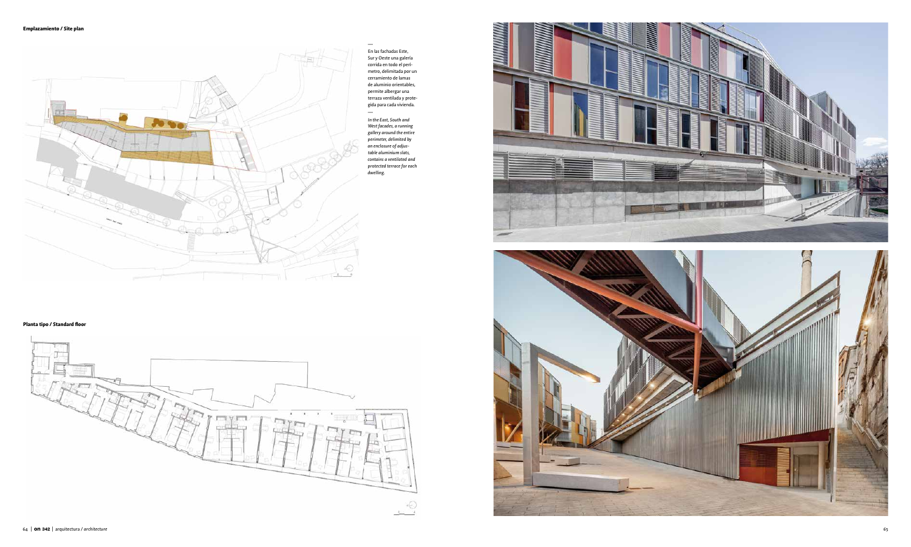## **Planta tipo / Standard floor**



— En las fachadas Este, Sur y Oeste una galería corrida en todo el perí metro, delimitada por un cerramiento de lamas de aluminio orientables, permite albergar una terraza ventilada y prote gida para cada vivienda.



*In the East, South and West facades, a running gallery around the entire perimeter, delimited by an enclosure of adjus table aluminium slats, contains a ventilated and protected terrace for each dwelling.*





**Emplazamiento / Site plan**